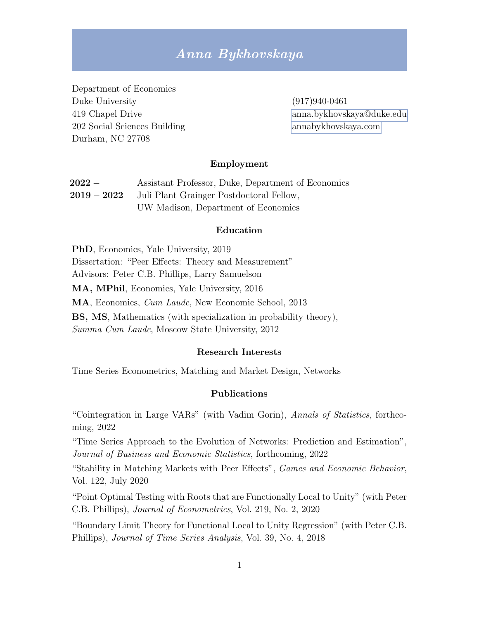# Anna Bykhovskaya

Department of Economics Duke University (917)940-0461 202 Social Sciences Building [annabykhovskaya.com](http://www.annabykhovskaya.com) Durham, NC 27708

419 Chapel Drive [anna.bykhovskaya@duke.edu](mailto:anna.bykhovskaya@duke.edu)

#### Employment

| $2022-$     | Assistant Professor, Duke, Department of Economics |
|-------------|----------------------------------------------------|
| $2019-2022$ | Juli Plant Grainger Postdoctoral Fellow,           |
|             | UW Madison, Department of Economics                |

#### Education

PhD, Economics, Yale University, 2019 Dissertation: "Peer Effects: Theory and Measurement" Advisors: Peter C.B. Phillips, Larry Samuelson MA, MPhil, Economics, Yale University, 2016 MA, Economics, Cum Laude, New Economic School, 2013 BS, MS, Mathematics (with specialization in probability theory), Summa Cum Laude, Moscow State University, 2012

#### Research Interests

Time Series Econometrics, Matching and Market Design, Networks

#### Publications

"Cointegration in Large VARs" (with Vadim Gorin), Annals of Statistics, forthcoming, 2022

"Time Series Approach to the Evolution of Networks: Prediction and Estimation", Journal of Business and Economic Statistics, forthcoming, 2022

"Stability in Matching Markets with Peer Effects", Games and Economic Behavior, Vol. 122, July 2020

"Point Optimal Testing with Roots that are Functionally Local to Unity" (with Peter C.B. Phillips), Journal of Econometrics, Vol. 219, No. 2, 2020

"Boundary Limit Theory for Functional Local to Unity Regression" (with Peter C.B. Phillips), Journal of Time Series Analysis, Vol. 39, No. 4, 2018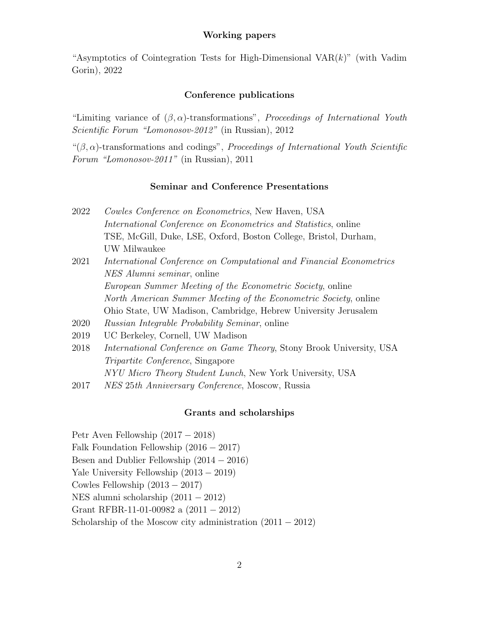## Working papers

"Asymptotics of Cointegration Tests for High-Dimensional VAR $(k)$ " (with Vadim Gorin), 2022

#### Conference publications

"Limiting variance of  $(\beta, \alpha)$ -transformations", *Proceedings of International Youth* Scientific Forum "Lomonosov-2012" (in Russian), 2012

" $(\beta, \alpha)$ -transformations and codings", *Proceedings of International Youth Scientific* Forum "Lomonosov-2011" (in Russian), 2011

## Seminar and Conference Presentations

- 2022 Cowles Conference on Econometrics, New Haven, USA International Conference on Econometrics and Statistics, online TSE, McGill, Duke, LSE, Oxford, Boston College, Bristol, Durham, UW Milwaukee
- 2021 International Conference on Computational and Financial Econometrics NES Alumni seminar, online European Summer Meeting of the Econometric Society, online North American Summer Meeting of the Econometric Society, online Ohio State, UW Madison, Cambridge, Hebrew University Jerusalem
- 2020 Russian Integrable Probability Seminar, online
- 2019 UC Berkeley, Cornell, UW Madison
- 2018 International Conference on Game Theory, Stony Brook University, USA Tripartite Conference, Singapore NYU Micro Theory Student Lunch, New York University, USA
- 2017 NES 25th Anniversary Conference, Moscow, Russia

# Grants and scholarships

Petr Aven Fellowship (2017 − 2018) Falk Foundation Fellowship (2016 − 2017) Besen and Dublier Fellowship (2014 − 2016) Yale University Fellowship (2013 − 2019) Cowles Fellowship (2013 − 2017) NES alumni scholarship (2011 − 2012) Grant RFBR-11-01-00982 a (2011 − 2012) Scholarship of the Moscow city administration  $(2011 - 2012)$